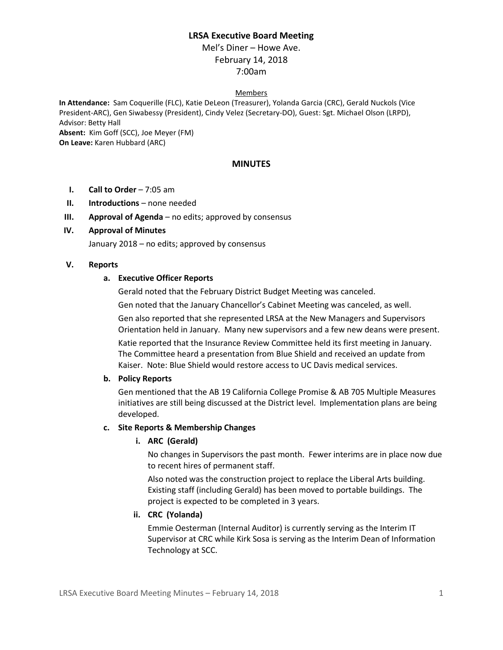# **LRSA Executive Board Meeting**

Mel's Diner – Howe Ave. February 14, 2018 7:00am

#### Members

**In Attendance:** Sam Coquerille (FLC), Katie DeLeon (Treasurer), Yolanda Garcia (CRC), Gerald Nuckols (Vice President-ARC), Gen Siwabessy (President), Cindy Velez (Secretary-DO), Guest: Sgt. Michael Olson (LRPD), Advisor: Betty Hall **Absent:** Kim Goff (SCC), Joe Meyer (FM) **On Leave:** Karen Hubbard (ARC)

### **MINUTES**

- **I. Call to Order** 7:05 am
- **II. Introductions** none needed
- **III. Approval of Agenda** no edits; approved by consensus

### **IV. Approval of Minutes**

January 2018 – no edits; approved by consensus

#### **V. Reports**

#### **a. Executive Officer Reports**

Gerald noted that the February District Budget Meeting was canceled.

Gen noted that the January Chancellor's Cabinet Meeting was canceled, as well.

Gen also reported that she represented LRSA at the New Managers and Supervisors Orientation held in January. Many new supervisors and a few new deans were present.

Katie reported that the Insurance Review Committee held its first meeting in January. The Committee heard a presentation from Blue Shield and received an update from Kaiser. Note: Blue Shield would restore access to UC Davis medical services.

### **b. Policy Reports**

Gen mentioned that the AB 19 California College Promise & AB 705 Multiple Measures initiatives are still being discussed at the District level. Implementation plans are being developed.

#### **c. Site Reports & Membership Changes**

#### **i. ARC (Gerald)**

No changes in Supervisors the past month. Fewer interims are in place now due to recent hires of permanent staff.

Also noted was the construction project to replace the Liberal Arts building. Existing staff (including Gerald) has been moved to portable buildings. The project is expected to be completed in 3 years.

#### **ii. CRC (Yolanda)**

Emmie Oesterman (Internal Auditor) is currently serving as the Interim IT Supervisor at CRC while Kirk Sosa is serving as the Interim Dean of Information Technology at SCC.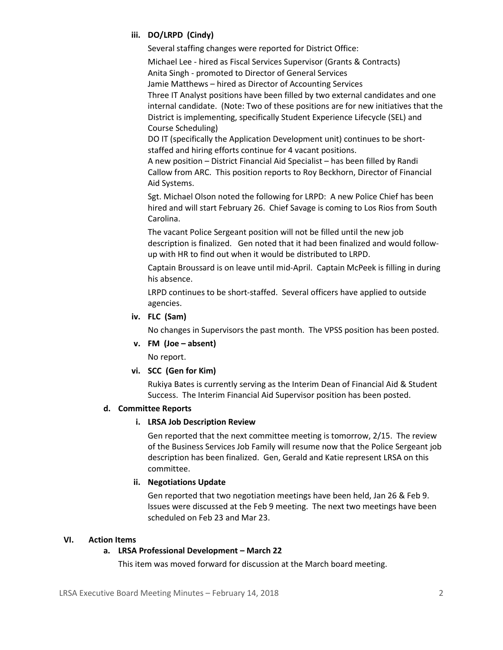# **iii. DO/LRPD (Cindy)**

Several staffing changes were reported for District Office:

Michael Lee - hired as Fiscal Services Supervisor (Grants & Contracts) Anita Singh - promoted to Director of General Services Jamie Matthews – hired as Director of Accounting Services Three IT Analyst positions have been filled by two external candidates and one internal candidate. (Note: Two of these positions are for new initiatives that the District is implementing, specifically Student Experience Lifecycle (SEL) and Course Scheduling)

DO IT (specifically the Application Development unit) continues to be shortstaffed and hiring efforts continue for 4 vacant positions.

A new position – District Financial Aid Specialist – has been filled by Randi Callow from ARC. This position reports to Roy Beckhorn, Director of Financial Aid Systems.

Sgt. Michael Olson noted the following for LRPD: A new Police Chief has been hired and will start February 26. Chief Savage is coming to Los Rios from South Carolina.

The vacant Police Sergeant position will not be filled until the new job description is finalized. Gen noted that it had been finalized and would followup with HR to find out when it would be distributed to LRPD.

Captain Broussard is on leave until mid-April. Captain McPeek is filling in during his absence.

LRPD continues to be short-staffed. Several officers have applied to outside agencies.

**iv. FLC (Sam)**

No changes in Supervisors the past month. The VPSS position has been posted.

**v. FM (Joe – absent)**

No report.

# **vi. SCC (Gen for Kim)**

Rukiya Bates is currently serving as the Interim Dean of Financial Aid & Student Success. The Interim Financial Aid Supervisor position has been posted.

# **d. Committee Reports**

## **i. LRSA Job Description Review**

Gen reported that the next committee meeting is tomorrow, 2/15. The review of the Business Services Job Family will resume now that the Police Sergeant job description has been finalized. Gen, Gerald and Katie represent LRSA on this committee.

# **ii. Negotiations Update**

Gen reported that two negotiation meetings have been held, Jan 26 & Feb 9. Issues were discussed at the Feb 9 meeting. The next two meetings have been scheduled on Feb 23 and Mar 23.

## **VI. Action Items**

# **a. LRSA Professional Development – March 22**

This item was moved forward for discussion at the March board meeting.